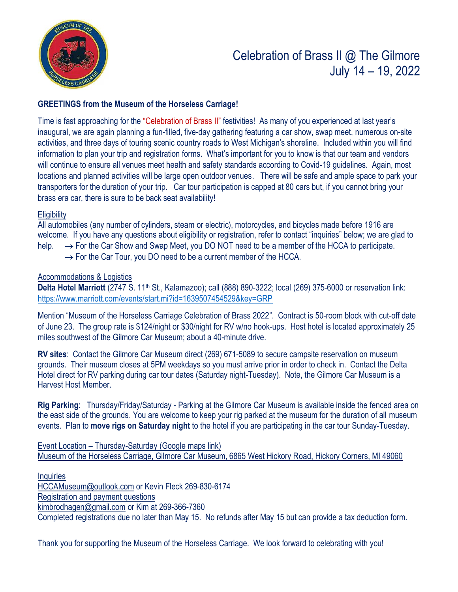

# Celebration of Brass II @ The Gilmore July 14 – 19, 2022

## **GREETINGS from the Museum of the Horseless Carriage!**

Time is fast approaching for the "Celebration of Brass II" festivities! As many of you experienced at last year's inaugural, we are again planning a fun-filled, five-day gathering featuring a car show, swap meet, numerous on-site activities, and three days of touring scenic country roads to West Michigan's shoreline. Included within you will find information to plan your trip and registration forms. What's important for you to know is that our team and vendors will continue to ensure all venues meet health and safety standards according to Covid-19 guidelines. Again, most locations and planned activities will be large open outdoor venues. There will be safe and ample space to park your transporters for the duration of your trip. Car tour participation is capped at 80 cars but, if you cannot bring your brass era car, there is sure to be back seat availability!

#### **Eligibility**

All automobiles (any number of cylinders, steam or electric), motorcycles, and bicycles made before 1916 are welcome. If you have any questions about eligibility or registration, refer to contact "inquiries" below; we are glad to help.  $\rightarrow$  For the Car Show and Swap Meet, you DO NOT need to be a member of the HCCA to participate.

 $\rightarrow$  For the Car Tour, you DO need to be a current member of the HCCA.

#### Accommodations & Logistics

**Delta Hotel Marriott** (2747 S. 11th St., Kalamazoo); call (888) 890-3222; local (269) 375-6000 or reservation link: <https://www.marriott.com/events/start.mi?id=1639507454529&key=GRP>

Mention "Museum of the Horseless Carriage Celebration of Brass 2022". Contract is 50-room block with cut-off date of June 23. The group rate is \$124/night or \$30/night for RV w/no hook-ups. Host hotel is located approximately 25 miles southwest of the Gilmore Car Museum; about a 40-minute drive.

**RV sites**: Contact the Gilmore Car Museum direct (269) 671-5089 to secure campsite reservation on museum grounds. Their museum closes at 5PM weekdays so you must arrive prior in order to check in. Contact the Delta Hotel direct for RV parking during car tour dates (Saturday night-Tuesday). Note, the Gilmore Car Museum is a Harvest Host Member.

**Rig Parking**: Thursday/Friday/Saturday - Parking at the Gilmore Car Museum is available inside the fenced area on the east side of the grounds. You are welcome to keep your rig parked at the museum for the duration of all museum events. Plan to **move rigs on Saturday night** to the hotel if you are participating in the car tour Sunday-Tuesday.

Event Location – Thursday-Saturday (Google maps link) [Museum of the Horseless Carriage, Gilmore Car Museum, 6865 West Hickory Road, Hickory Corners, MI 49060](https://goo.gl/maps/7ZHEWH6usDN1Ugij6)

**Inquiries** [HCCAMuseum@outlook.com](mailto:HCCAMuseum@outlook.com) or Kevin Fleck 269-830-6174 Registration and payment questions [kimbrodhagen@gmail.com](mailto:kimbrodhagen@gmail.com) or Kim at 269-366-7360 Completed registrations due no later than May 15. No refunds after May 15 but can provide a tax deduction form.

Thank you for supporting the Museum of the Horseless Carriage. We look forward to celebrating with you!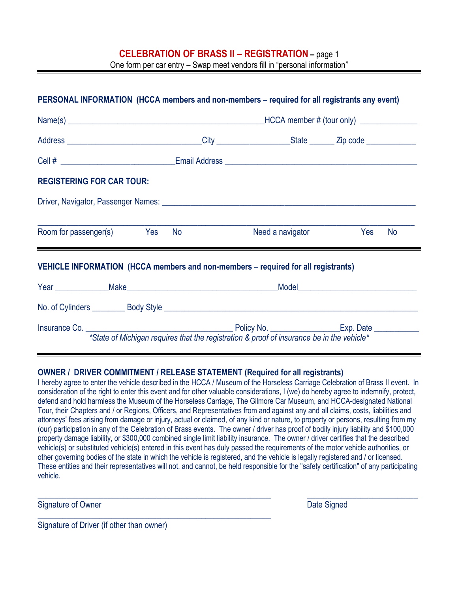### **CELEBRATION OF BRASS II – REGISTRATION –** page 1

One form per car entry – Swap meet vendors fill in "personal information"

| <b>REGISTERING FOR CAR TOUR:</b>                                                                                                                                                                                                   |                                                                                                                                                                                                                                      |  |  |  |
|------------------------------------------------------------------------------------------------------------------------------------------------------------------------------------------------------------------------------------|--------------------------------------------------------------------------------------------------------------------------------------------------------------------------------------------------------------------------------------|--|--|--|
|                                                                                                                                                                                                                                    |                                                                                                                                                                                                                                      |  |  |  |
|                                                                                                                                                                                                                                    |                                                                                                                                                                                                                                      |  |  |  |
|                                                                                                                                                                                                                                    | Need a navigator <b>Sand School State State State State State State State State State State State State State State State State State State State State State State State State State State State State State State State State </b> |  |  |  |
|                                                                                                                                                                                                                                    |                                                                                                                                                                                                                                      |  |  |  |
|                                                                                                                                                                                                                                    |                                                                                                                                                                                                                                      |  |  |  |
| Room for passenger(s) Yes No<br>VEHICLE INFORMATION (HCCA members and non-members - required for all registrants)<br>Year Make Make Make Music Model Model Model Model Music Music Music Music Music Music Music Music Music Music |                                                                                                                                                                                                                                      |  |  |  |

#### **OWNER / DRIVER COMMITMENT / RELEASE STATEMENT (Required for all registrants)**

I hereby agree to enter the vehicle described in the HCCA / Museum of the Horseless Carriage Celebration of Brass II event. In consideration of the right to enter this event and for other valuable considerations, I (we) do hereby agree to indemnify, protect, defend and hold harmless the Museum of the Horseless Carriage, The Gilmore Car Museum, and HCCA-designated National Tour, their Chapters and / or Regions, Officers, and Representatives from and against any and all claims, costs, liabilities and attorneys' fees arising from damage or injury, actual or claimed, of any kind or nature, to property or persons, resulting from my (our) participation in any of the Celebration of Brass events. The owner / driver has proof of bodily injury liability and \$100,000 property damage liability, or \$300,000 combined single limit liability insurance. The owner / driver certifies that the described vehicle(s) or substituted vehicle(s) entered in this event has duly passed the requirements of the motor vehicle authorities, or other governing bodies of the state in which the vehicle is registered, and the vehicle is legally registered and / or licensed. These entities and their representatives will not, and cannot, be held responsible for the "safety certification" of any participating vehicle.

 $\_$  , and the set of the set of the set of the set of the set of the set of the set of the set of the set of the set of the set of the set of the set of the set of the set of the set of the set of the set of the set of th

Signature of Owner **Date Signed** Signature of Owner **Date Signed** 

Signature of Driver (if other than owner)

\_\_\_\_\_\_\_\_\_\_\_\_\_\_\_\_\_\_\_\_\_\_\_\_\_\_\_\_\_\_\_\_\_\_\_\_\_\_\_\_\_\_\_\_\_\_\_\_\_\_\_\_\_\_\_\_\_